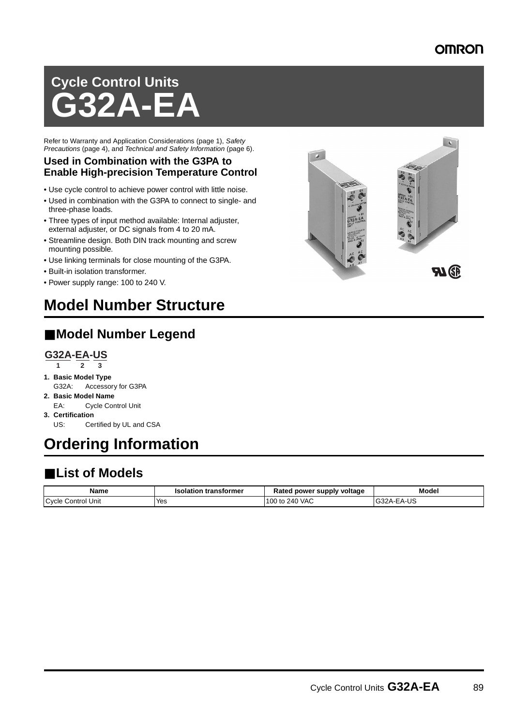### **OMRON**

# **Cycle Control Units G32A-EA**

Refer to Warranty and Application Considerations (page 1), Safety Precautions (page 4), and Technical and Safety Information (page 6).

#### **Used in Combination with the G3PA to Enable High-precision Temperature Control**

- Use cycle control to achieve power control with little noise.
- Used in combination with the G3PA to connect to single- and three-phase loads.
- Three types of input method available: Internal adjuster, external adjuster, or DC signals from 4 to 20 mA.
- Streamline design. Both DIN track mounting and screw mounting possible.
- Use linking terminals for close mounting of the G3PA.
- Built-in isolation transformer.
- Power supply range: 100 to 240 V.

## **Model Number Structure**

#### ■ **Model Number Legend**

#### **G32A-EA-US**

- **1 2 3**
- **1. Basic Model Type** G32A: Accessory for G3PA
- **2. Basic Model Name** EA: Cycle Control Unit
- **3. Certification** US: Certified by UL and CSA

## **Ordering Information**

## ■ **List of Models**

| <b>Name</b>           | transformer<br>Isolation | Rated power supply voltage | Model                                |
|-----------------------|--------------------------|----------------------------|--------------------------------------|
| Cycle<br>Control Unit | Yes                      | 100 to 240 VAC             | <b>EAIR</b><br>$\sim$<br>— G32A-EA-U |

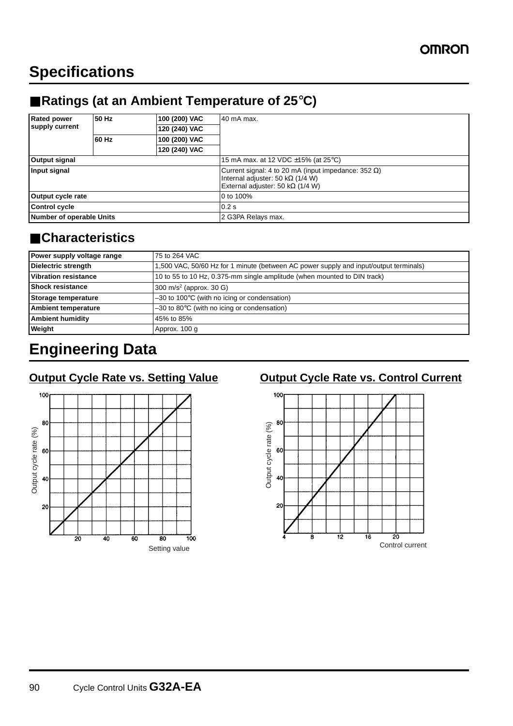## **Specifications**

## ■ **Ratings (at an Ambient Temperature of 25°C)**

| <b>Rated power</b><br>supply current | 50 Hz | 100 (200) VAC | 40 mA max.                                                                                                                                          |  |
|--------------------------------------|-------|---------------|-----------------------------------------------------------------------------------------------------------------------------------------------------|--|
|                                      |       | 120 (240) VAC |                                                                                                                                                     |  |
|                                      | 60 Hz | 100 (200) VAC |                                                                                                                                                     |  |
|                                      |       | 120 (240) VAC |                                                                                                                                                     |  |
| <b>Output signal</b>                 |       |               | 15 mA max. at 12 VDC $\pm$ 15% (at 25°C)                                                                                                            |  |
| Input signal                         |       |               | Current signal: 4 to 20 mA (input impedance: 352 $\Omega$ )<br>Internal adjuster: 50 k $\Omega$ (1/4 W)<br>External adjuster: 50 k $\Omega$ (1/4 W) |  |
| Output cycle rate                    |       |               | 0 to 100%                                                                                                                                           |  |
| <b>Control cycle</b>                 |       |               | 0.2s                                                                                                                                                |  |
| Number of operable Units             |       |               | 2 G3PA Relays max.                                                                                                                                  |  |

#### ■ **Characteristics**

| Power supply voltage range  | 75 to 264 VAC                                                                         |  |
|-----------------------------|---------------------------------------------------------------------------------------|--|
| Dielectric strength         | 1,500 VAC, 50/60 Hz for 1 minute (between AC power supply and input/output terminals) |  |
| <b>Vibration resistance</b> | 10 to 55 to 10 Hz, 0.375-mm single amplitude (when mounted to DIN track)              |  |
| <b>Shock resistance</b>     | 300 m/s <sup>2</sup> (approx. 30 G)                                                   |  |
| Storage temperature         | $-30$ to 100 $\degree$ C (with no icing or condensation)                              |  |
| <b>Ambient temperature</b>  | $-30$ to 80 $\degree$ C (with no icing or condensation)                               |  |
| <b>Ambient humidity</b>     | 45% to 85%                                                                            |  |
| Weight                      | Approx. 100 g                                                                         |  |

## **Engineering Data**



#### **Output Cycle Rate vs. Setting Value Cutput Cycle Rate vs. Control Current**

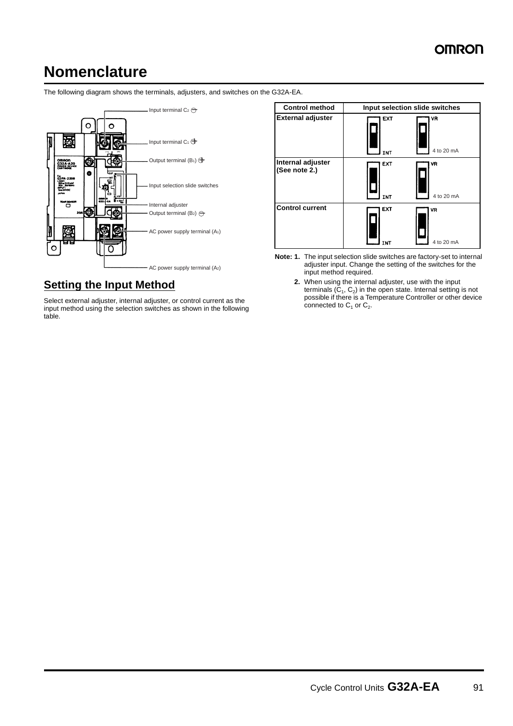## **Nomenclature**

The following diagram shows the terminals, adjusters, and switches on the G32A-EA.



#### **Setting the Input Method**

Select external adjuster, internal adjuster, or control current as the input method using the selection switches as shown in the following table.

| <b>Control method</b>              | Input selection slide switches |                  |
|------------------------------------|--------------------------------|------------------|
| <b>External adjuster</b>           | <b>EXT</b><br><b>INT</b>       | VR<br>4 to 20 mA |
| Internal adjuster<br>(See note 2.) | EXT<br><b>INT</b>              | ٧R<br>4 to 20 mA |
| <b>Control current</b>             | EXT<br><b>INT</b>              | VR<br>4 to 20 mA |

- **Note: 1.** The input selection slide switches are factory-set to internal adjuster input. Change the setting of the switches for the input method required.
	- **2.** When using the internal adjuster, use with the input terminals  $(C_1, C_2)$  in the open state. Internal setting is not possible if there is a Temperature Controller or other device connected to  $C_1$  or  $C_2$ .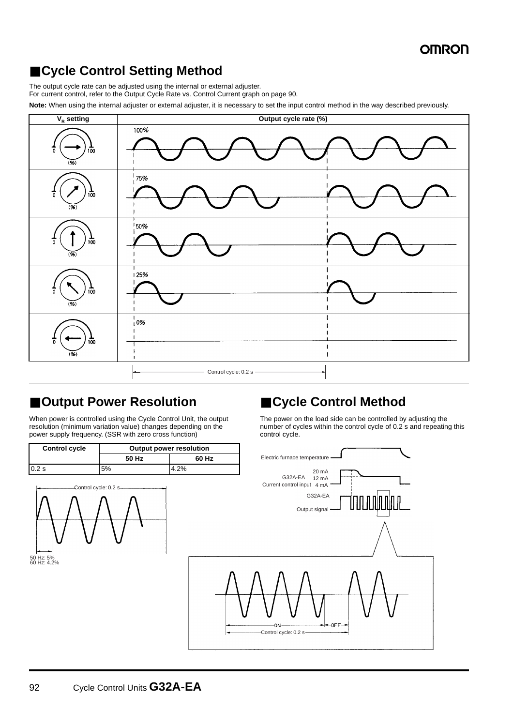## ■ Cycle Control Setting Method

The output cycle rate can be adjusted using the internal or external adjuster.

For current control, refer to the Output Cycle Rate vs. Control Current graph on page 90.

**Note:** When using the internal adjuster or external adjuster, it is necessary to set the input control method in the way described previously.



#### ■ Output Power Resolution

When power is controlled using the Cycle Control Unit, the output resolution (minimum variation value) changes depending on the power supply frequency. (SSR with zero cross function)

| <b>Control cycle</b> | <b>Output power resolution</b> |       |  |
|----------------------|--------------------------------|-------|--|
|                      | 50 Hz                          | 60 Hz |  |
| 0.2s                 | 5%                             | റ0/   |  |



#### ■ Cycle Control Method

The power on the load side can be controlled by adjusting the number of cycles within the control cycle of 0.2 s and repeating this control cycle.

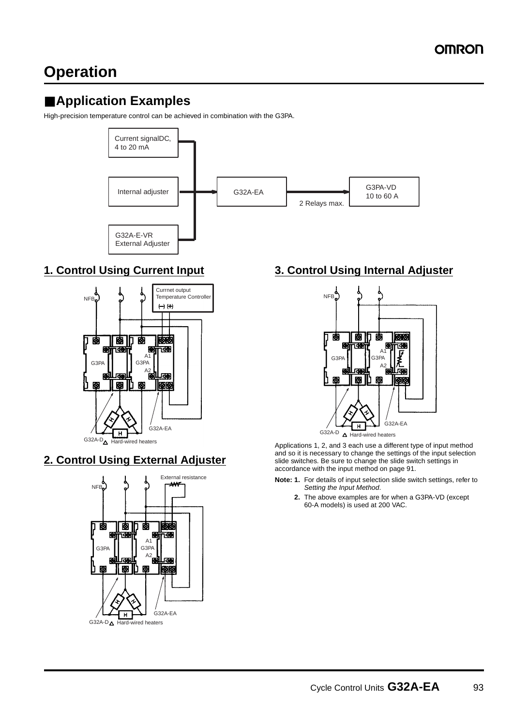## **Operation**

## ■ **Application Examples**

High-precision temperature control can be achieved in combination with the G3PA.



#### **1. Control Using Current Input**



#### **2. Control Using External Adjuster**



#### **3. Control Using Internal Adjuster**



Applications 1, 2, and 3 each use a different type of input method and so it is necessary to change the settings of the input selection slide switches. Be sure to change the slide switch settings in accordance with the input method on page 91.

- **Note: 1.** For details of input selection slide switch settings, refer to Setting the Input Method.
	- **2.** The above examples are for when a G3PA-VD (except 60-A models) is used at 200 VAC.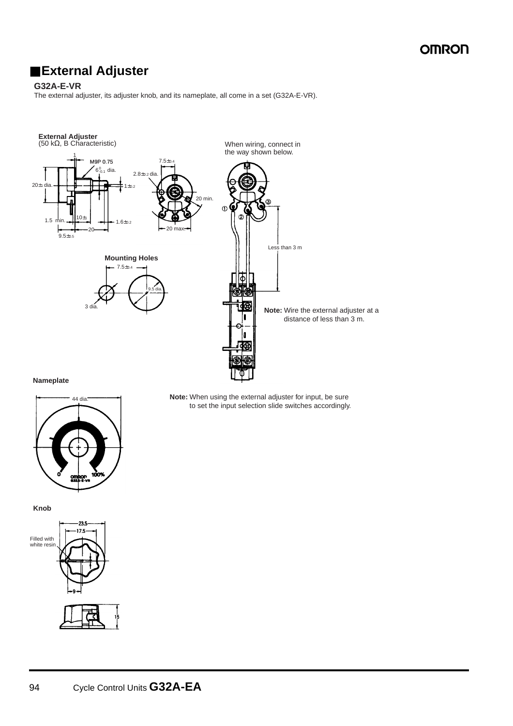### ■ **External Adjuster**

#### **G32A-E-VR**

The external adjuster, its adjuster knob, and its nameplate, all come in a set (G32A-E-VR).



**Nameplate**





**Note:** When using the external adjuster for input, be sure to set the input selection slide switches accordingly.